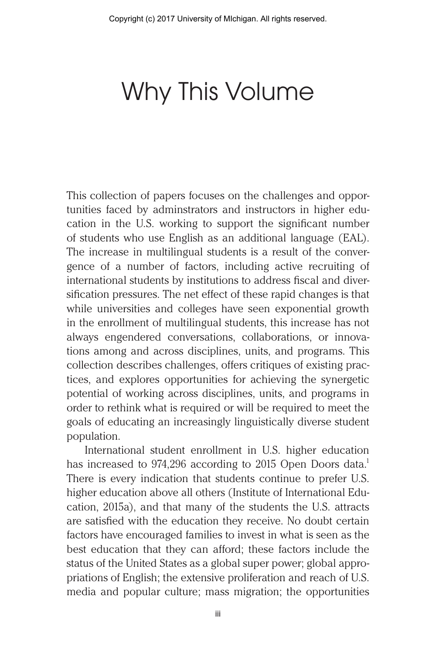# Why This Volume

This collection of papers focuses on the challenges and opportunities faced by adminstrators and instructors in higher education in the U.S. working to support the significant number of students who use English as an additional language (EAL). The increase in multilingual students is a result of the convergence of a number of factors, including active recruiting of international students by institutions to address fiscal and diversification pressures. The net effect of these rapid changes is that while universities and colleges have seen exponential growth in the enrollment of multilingual students, this increase has not always engendered conversations, collaborations, or innovations among and across disciplines, units, and programs. This collection describes challenges, offers critiques of existing practices, and explores opportunities for achieving the synergetic potential of working across disciplines, units, and programs in order to rethink what is required or will be required to meet the goals of educating an increasingly linguistically diverse student population.

International student enrollment in U.S. higher education has increased to  $974,296$  according to 2015 Open Doors data.<sup>1</sup> There is every indication that students continue to prefer U.S. higher education above all others (Institute of International Education, 2015a), and that many of the students the U.S. attracts are satisfied with the education they receive. No doubt certain factors have encouraged families to invest in what is seen as the best education that they can afford; these factors include the status of the United States as a global super power; global appropriations of English; the extensive proliferation and reach of U.S. media and popular culture; mass migration; the opportunities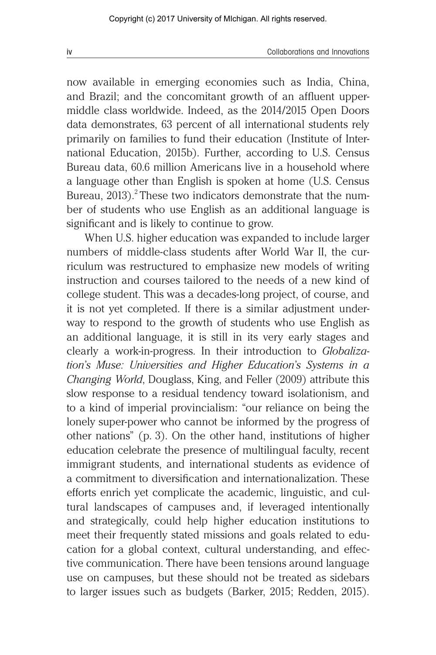now available in emerging economies such as India, China, and Brazil; and the concomitant growth of an affluent uppermiddle class worldwide. Indeed, as the 2014/2015 Open Doors data demonstrates, 63 percent of all international students rely primarily on families to fund their education (Institute of International Education, 2015b). Further, according to U.S. Census Bureau data, 60.6 million Americans live in a household where a language other than English is spoken at home (U.S. Census Bureau,  $2013$ ).<sup>2</sup> These two indicators demonstrate that the number of students who use English as an additional language is significant and is likely to continue to grow.

When U.S. higher education was expanded to include larger numbers of middle-class students after World War II, the curriculum was restructured to emphasize new models of writing instruction and courses tailored to the needs of a new kind of college student. This was a decades-long project, of course, and it is not yet completed. If there is a similar adjustment underway to respond to the growth of students who use English as an additional language, it is still in its very early stages and clearly a work-in-progress. In their introduction to *Globalization's Muse: Universities and Higher Education's Systems in a Changing World*, Douglass, King, and Feller (2009) attribute this slow response to a residual tendency toward isolationism, and to a kind of imperial provincialism: "our reliance on being the lonely super-power who cannot be informed by the progress of other nations" (p. 3). On the other hand, institutions of higher education celebrate the presence of multilingual faculty, recent immigrant students, and international students as evidence of a commitment to diversification and internationalization. These efforts enrich yet complicate the academic, linguistic, and cultural landscapes of campuses and, if leveraged intentionally and strategically, could help higher education institutions to meet their frequently stated missions and goals related to education for a global context, cultural understanding, and effective communication. There have been tensions around language use on campuses, but these should not be treated as sidebars to larger issues such as budgets (Barker, 2015; Redden, 2015).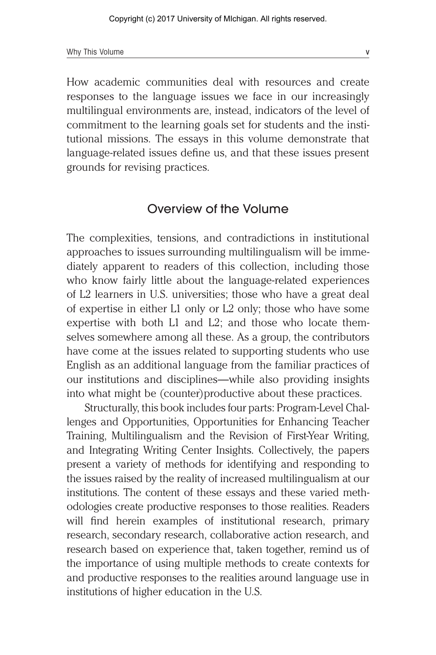How academic communities deal with resources and create responses to the language issues we face in our increasingly multilingual environments are, instead, indicators of the level of commitment to the learning goals set for students and the institutional missions. The essays in this volume demonstrate that language-related issues define us, and that these issues present grounds for revising practices.

#### Overview of the Volume

The complexities, tensions, and contradictions in institutional approaches to issues surrounding multilingualism will be immediately apparent to readers of this collection, including those who know fairly little about the language-related experiences of L2 learners in U.S. universities; those who have a great deal of expertise in either L1 only or L2 only; those who have some expertise with both L1 and L2; and those who locate themselves somewhere among all these. As a group, the contributors have come at the issues related to supporting students who use English as an additional language from the familiar practices of our institutions and disciplines—while also providing insights into what might be (counter)productive about these practices.

Structurally, this book includes four parts: Program-Level Challenges and Opportunities, Opportunities for Enhancing Teacher Training, Multilingualism and the Revision of First-Year Writing, and Integrating Writing Center Insights. Collectively, the papers present a variety of methods for identifying and responding to the issues raised by the reality of increased multilingualism at our institutions. The content of these essays and these varied methodologies create productive responses to those realities. Readers will find herein examples of institutional research, primary research, secondary research, collaborative action research, and research based on experience that, taken together, remind us of the importance of using multiple methods to create contexts for and productive responses to the realities around language use in institutions of higher education in the U.S.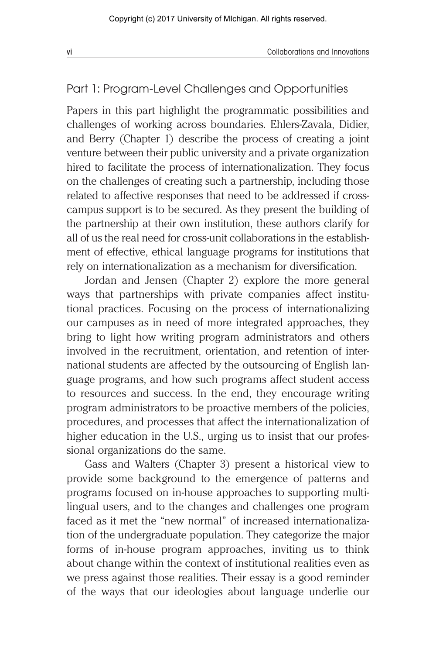# Part 1: Program-Level Challenges and Opportunities

Papers in this part highlight the programmatic possibilities and challenges of working across boundaries. Ehlers-Zavala, Didier, and Berry (Chapter 1) describe the process of creating a joint venture between their public university and a private organization hired to facilitate the process of internationalization. They focus on the challenges of creating such a partnership, including those related to affective responses that need to be addressed if crosscampus support is to be secured. As they present the building of the partnership at their own institution, these authors clarify for all of us the real need for cross-unit collaborations in the establishment of effective, ethical language programs for institutions that rely on internationalization as a mechanism for diversification.

Jordan and Jensen (Chapter 2) explore the more general ways that partnerships with private companies affect institutional practices. Focusing on the process of internationalizing our campuses as in need of more integrated approaches, they bring to light how writing program administrators and others involved in the recruitment, orientation, and retention of international students are affected by the outsourcing of English language programs, and how such programs affect student access to resources and success. In the end, they encourage writing program administrators to be proactive members of the policies, procedures, and processes that affect the internationalization of higher education in the U.S., urging us to insist that our professional organizations do the same.

Gass and Walters (Chapter 3) present a historical view to provide some background to the emergence of patterns and programs focused on in-house approaches to supporting multilingual users, and to the changes and challenges one program faced as it met the "new normal" of increased internationalization of the undergraduate population. They categorize the major forms of in-house program approaches, inviting us to think about change within the context of institutional realities even as we press against those realities. Their essay is a good reminder of the ways that our ideologies about language underlie our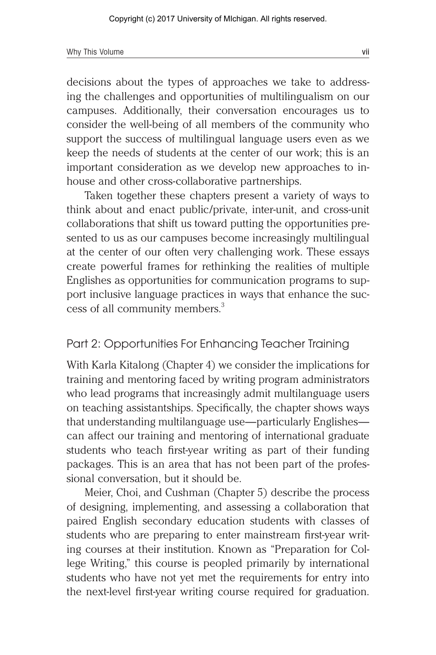decisions about the types of approaches we take to addressing the challenges and opportunities of multilingualism on our campuses. Additionally, their conversation encourages us to consider the well-being of all members of the community who support the success of multilingual language users even as we keep the needs of students at the center of our work; this is an important consideration as we develop new approaches to inhouse and other cross-collaborative partnerships.

Taken together these chapters present a variety of ways to think about and enact public/private, inter-unit, and cross-unit collaborations that shift us toward putting the opportunities presented to us as our campuses become increasingly multilingual at the center of our often very challenging work. These essays create powerful frames for rethinking the realities of multiple Englishes as opportunities for communication programs to support inclusive language practices in ways that enhance the success of all community members.<sup>3</sup>

# Part 2: Opportunities For Enhancing Teacher Training

With Karla Kitalong (Chapter 4) we consider the implications for training and mentoring faced by writing program administrators who lead programs that increasingly admit multilanguage users on teaching assistantships. Specifically, the chapter shows ways that understanding multilanguage use—particularly Englishes can affect our training and mentoring of international graduate students who teach first-year writing as part of their funding packages. This is an area that has not been part of the professional conversation, but it should be.

Meier, Choi, and Cushman (Chapter 5) describe the process of designing, implementing, and assessing a collaboration that paired English secondary education students with classes of students who are preparing to enter mainstream first-year writing courses at their institution. Known as "Preparation for College Writing," this course is peopled primarily by international students who have not yet met the requirements for entry into the next-level first-year writing course required for graduation.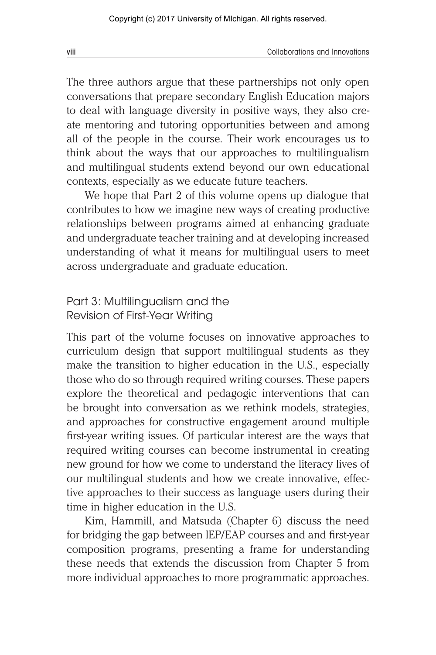The three authors argue that these partnerships not only open conversations that prepare secondary English Education majors to deal with language diversity in positive ways, they also create mentoring and tutoring opportunities between and among all of the people in the course. Their work encourages us to think about the ways that our approaches to multilingualism and multilingual students extend beyond our own educational contexts, especially as we educate future teachers.

We hope that Part 2 of this volume opens up dialogue that contributes to how we imagine new ways of creating productive relationships between programs aimed at enhancing graduate and undergraduate teacher training and at developing increased understanding of what it means for multilingual users to meet across undergraduate and graduate education.

#### Part 3: Multilingualism and the Revision of First-Year Writing

This part of the volume focuses on innovative approaches to curriculum design that support multilingual students as they make the transition to higher education in the U.S., especially those who do so through required writing courses. These papers explore the theoretical and pedagogic interventions that can be brought into conversation as we rethink models, strategies, and approaches for constructive engagement around multiple first-year writing issues. Of particular interest are the ways that required writing courses can become instrumental in creating new ground for how we come to understand the literacy lives of our multilingual students and how we create innovative, effective approaches to their success as language users during their time in higher education in the U.S.

Kim, Hammill, and Matsuda (Chapter 6) discuss the need for bridging the gap between IEP/EAP courses and and first-year composition programs, presenting a frame for understanding these needs that extends the discussion from Chapter 5 from more individual approaches to more programmatic approaches.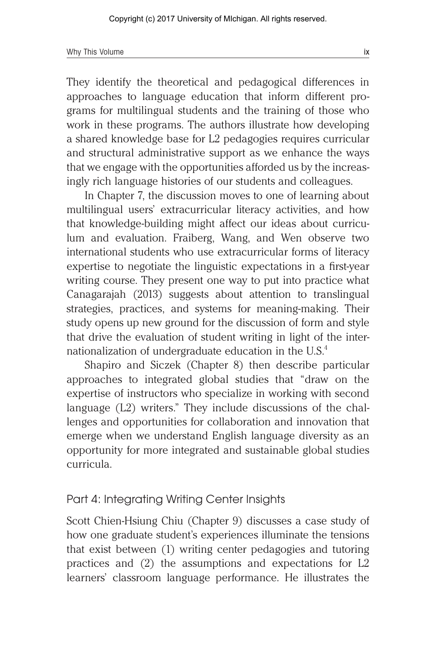They identify the theoretical and pedagogical differences in approaches to language education that inform different programs for multilingual students and the training of those who work in these programs. The authors illustrate how developing a shared knowledge base for L2 pedagogies requires curricular and structural administrative support as we enhance the ways that we engage with the opportunities afforded us by the increasingly rich language histories of our students and colleagues.

In Chapter 7, the discussion moves to one of learning about multilingual users' extracurricular literacy activities, and how that knowledge-building might affect our ideas about curriculum and evaluation. Fraiberg, Wang, and Wen observe two international students who use extracurricular forms of literacy expertise to negotiate the linguistic expectations in a first-year writing course. They present one way to put into practice what Canagarajah (2013) suggests about attention to translingual strategies, practices, and systems for meaning-making. Their study opens up new ground for the discussion of form and style that drive the evaluation of student writing in light of the internationalization of undergraduate education in the  $U.S.<sup>4</sup>$ 

Shapiro and Siczek (Chapter 8) then describe particular approaches to integrated global studies that "draw on the expertise of instructors who specialize in working with second language (L2) writers." They include discussions of the challenges and opportunities for collaboration and innovation that emerge when we understand English language diversity as an opportunity for more integrated and sustainable global studies curricula.

### Part 4: Integrating Writing Center Insights

Scott Chien-Hsiung Chiu (Chapter 9) discusses a case study of how one graduate student's experiences illuminate the tensions that exist between (1) writing center pedagogies and tutoring practices and (2) the assumptions and expectations for L2 learners' classroom language performance. He illustrates the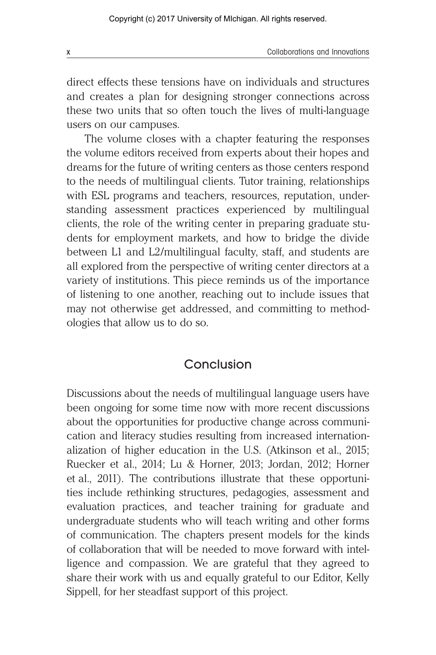direct effects these tensions have on individuals and structures and creates a plan for designing stronger connections across these two units that so often touch the lives of multi-language users on our campuses.

The volume closes with a chapter featuring the responses the volume editors received from experts about their hopes and dreams for the future of writing centers as those centers respond to the needs of multilingual clients. Tutor training, relationships with ESL programs and teachers, resources, reputation, understanding assessment practices experienced by multilingual clients, the role of the writing center in preparing graduate students for employment markets, and how to bridge the divide between L1 and L2/multilingual faculty, staff, and students are all explored from the perspective of writing center directors at a variety of institutions. This piece reminds us of the importance of listening to one another, reaching out to include issues that may not otherwise get addressed, and committing to methodologies that allow us to do so.

# Conclusion

Discussions about the needs of multilingual language users have been ongoing for some time now with more recent discussions about the opportunities for productive change across communication and literacy studies resulting from increased internationalization of higher education in the U.S. (Atkinson et al., 2015; Ruecker et al., 2014; Lu & Horner, 2013; Jordan, 2012; Horner et al., 2011). The contributions illustrate that these opportunities include rethinking structures, pedagogies, assessment and evaluation practices, and teacher training for graduate and undergraduate students who will teach writing and other forms of communication. The chapters present models for the kinds of collaboration that will be needed to move forward with intelligence and compassion. We are grateful that they agreed to share their work with us and equally grateful to our Editor, Kelly Sippell, for her steadfast support of this project.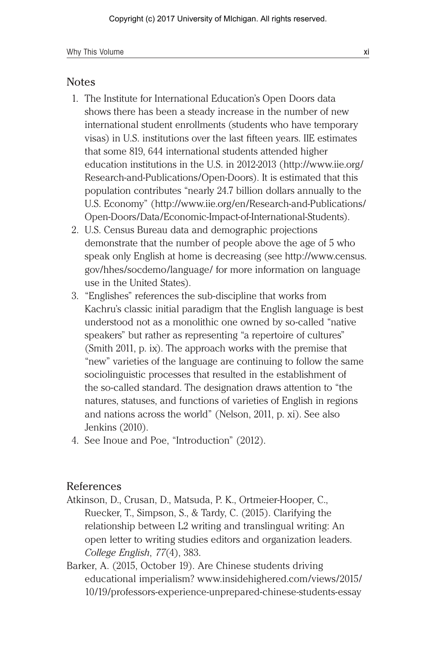#### Notes

- 1. The Institute for International Education's Open Doors data shows there has been a steady increase in the number of new international student enrollments (students who have temporary visas) in U.S. institutions over the last fifteen years. IIE estimates that some 819, 644 international students attended higher education institutions in the U.S. in 2012-2013 (http://www.iie.org/ Research-and-Publications/Open-Doors). It is estimated that this population contributes "nearly 24.7 billion dollars annually to the U.S. Economy" (http://www.iie.org/en/Research-and-Publications/ Open-Doors/Data/Economic-Impact-of-International-Students).
- 2. U.S. Census Bureau data and demographic projections demonstrate that the number of people above the age of 5 who speak only English at home is decreasing (see http://www.census. gov/hhes/socdemo/language/ for more information on language use in the United States).
- 3. "Englishes" references the sub-discipline that works from Kachru's classic initial paradigm that the English language is best understood not as a monolithic one owned by so-called "native speakers" but rather as representing "a repertoire of cultures" (Smith 2011, p. ix). The approach works with the premise that "new" varieties of the language are continuing to follow the same sociolinguistic processes that resulted in the establishment of the so-called standard. The designation draws attention to "the natures, statuses, and functions of varieties of English in regions and nations across the world" (Nelson, 2011, p. xi). See also Jenkins (2010).
- 4. See Inoue and Poe, "Introduction" (2012).

#### References

- Atkinson, D., Crusan, D., Matsuda, P. K., Ortmeier-Hooper, C., Ruecker, T., Simpson, S., & Tardy, C. (2015). Clarifying the relationship between L2 writing and translingual writing: An open letter to writing studies editors and organization leaders. *College English*, *77*(4), 383.
- Barker, A. (2015, October 19). Are Chinese students driving educational imperialism? www.insidehighered.com/views/2015/ 10/19/professors-experience-unprepared-chinese-students-essay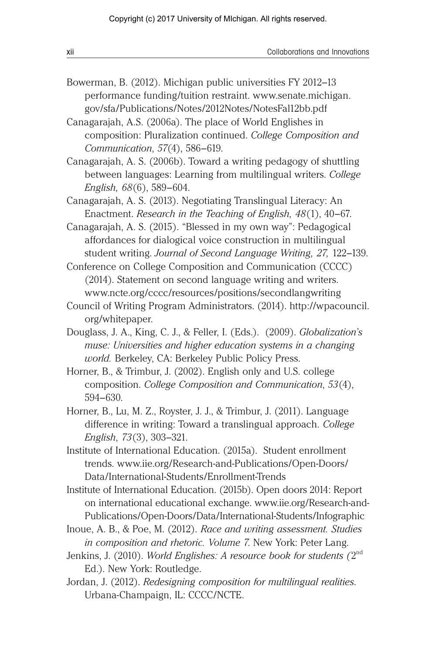| xii | Collaborations and Innovations |
|-----|--------------------------------|
|     |                                |

- Bowerman, B. (2012). Michigan public universities FY 2012–13 performance funding/tuition restraint. www.senate.michigan. gov/sfa/Publications/Notes/2012Notes/NotesFal12bb.pdf
- Canagarajah, A.S. (2006a). The place of World Englishes in composition: Pluralization continued. *College Composition and Communication*, *57*(4), 586–619.
- Canagarajah, A. S. (2006b). Toward a writing pedagogy of shuttling between languages: Learning from multilingual writers. *College English, 68*(6), 589–604.
- Canagarajah, A. S. (2013). Negotiating Translingual Literacy: An Enactment. *Research in the Teaching of English, 48*(1), 40–67.
- Canagarajah, A. S. (2015). "Blessed in my own way": Pedagogical affordances for dialogical voice construction in multilingual student writing. *Journal of Second Language Writing, 27,* 122–139.
- Conference on College Composition and Communication (CCCC) (2014). Statement on second language writing and writers. www.ncte.org/cccc/resources/positions/secondlangwriting
- Council of Writing Program Administrators. (2014). http://wpacouncil. org/whitepaper.
- Douglass, J. A., King, C. J., & Feller, I. (Eds.). (2009). *Globalization's muse: Universities and higher education systems in a changing world.* Berkeley, CA: Berkeley Public Policy Press.
- Horner, B., & Trimbur, J. (2002). English only and U.S. college composition. *College Composition and Communication*, *53*(4), 594–630.
- Horner, B., Lu, M. Z., Royster, J. J., & Trimbur, J. (2011). Language difference in writing: Toward a translingual approach. *College English*, *73*(3), 303–321.
- Institute of International Education. (2015a). Student enrollment trends. www.iie.org/Research-and-Publications/Open-Doors/ Data/International-Students/Enrollment-Trends
- Institute of International Education. (2015b). Open doors 2014: Report on international educational exchange. www.iie.org/Research-and-Publications/Open-Doors/Data/International-Students/Infographic
- Inoue, A. B., & Poe, M. (2012). *Race and writing assessment. Studies in composition and rhetoric. Volume 7*. New York: Peter Lang.
- Jenkins, J. (2010). *World Englishes: A resource book for students (*2nd Ed.). New York: Routledge.
- Jordan, J. (2012). *Redesigning composition for multilingual realities*. Urbana-Champaign, IL: CCCC/NCTE.